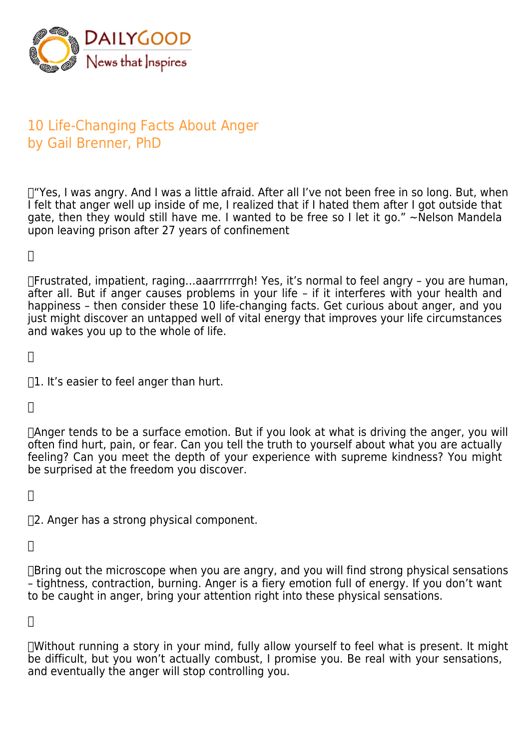

## 10 Life-Changing Facts About Anger by Gail Brenner, PhD

T"Yes, I was angry. And I was a little afraid. After all I've not been free in so long. But, when I felt that anger well up inside of me, I realized that if I hated them after I got outside that gate, then they would still have me. I wanted to be free so I let it go."  $\sim$  Nelson Mandela upon leaving prison after 27 years of confinement

 $\Box$ 

 Frustrated, impatient, raging…aaarrrrrrgh! Yes, it's normal to feel angry – you are human, after all. But if anger causes problems in your life – if it interferes with your health and happiness – then consider these 10 life-changing facts. Get curious about anger, and you just might discover an untapped well of vital energy that improves your life circumstances and wakes you up to the whole of life.

 $\Box$ 

 $\Box$ 1. It's easier to feel anger than hurt.

 $\Box$ 

 Anger tends to be a surface emotion. But if you look at what is driving the anger, you will often find hurt, pain, or fear. Can you tell the truth to yourself about what you are actually feeling? Can you meet the depth of your experience with supreme kindness? You might be surprised at the freedom you discover.

 $\Box$ 

 2. Anger has a strong physical component.

 $\Box$ 

 $\Box$ Bring out the microscope when you are angry, and you will find strong physical sensations – tightness, contraction, burning. Anger is a fiery emotion full of energy. If you don't want to be caught in anger, bring your attention right into these physical sensations.

 $\Box$ 

 Without running a story in your mind, fully allow yourself to feel what is present. It might be difficult, but you won't actually combust, I promise you. Be real with your sensations, and eventually the anger will stop controlling you.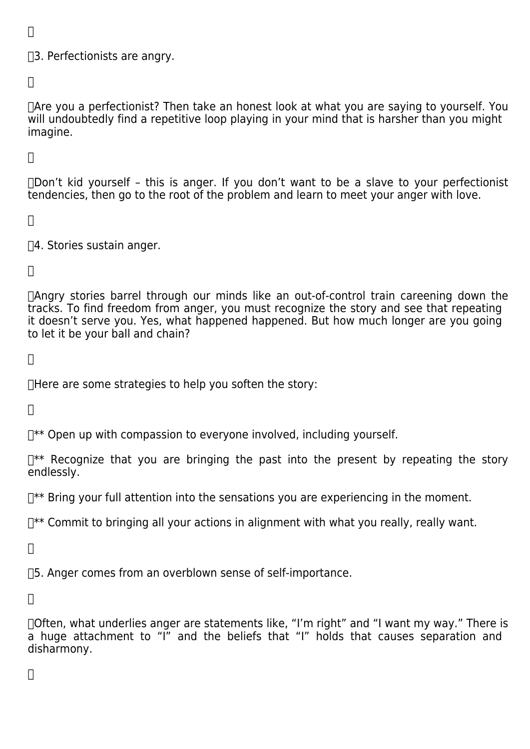$\Box$ 

## 3. Perfectionists are angry.

 $\Box$ 

 Are you a perfectionist? Then take an honest look at what you are saying to yourself. You will undoubtedly find a repetitive loop playing in your mind that is harsher than you might imagine.

 $\Box$ 

 Don't kid yourself – this is anger. If you don't want to be a slave to your perfectionist tendencies, then go to the root of the problem and learn to meet your anger with love.

 $\Box$ 

 4. Stories sustain anger.

 $\Box$ 

 Angry stories barrel through our minds like an out-of-control train careening down the tracks. To find freedom from anger, you must recognize the story and see that repeating it doesn't serve you. Yes, what happened happened. But how much longer are you going to let it be your ball and chain?

 $\Box$ 

 Here are some strategies to help you soften the story:

 $\Box$ 

 $\mathbb{R}^*$  Open up with compassion to everyone involved, including yourself.

 $\mathbb{R}^*$  Recognize that you are bringing the past into the present by repeating the story endlessly.

 $\mathbb{R}^*$  Bring your full attention into the sensations you are experiencing in the moment.

 $\mathbb{R}^*$  Commit to bringing all your actions in alignment with what you really, really want.

 $\Box$ 

 5. Anger comes from an overblown sense of self-importance.

 $\Box$ 

 Often, what underlies anger are statements like, "I'm right" and "I want my way." There is a huge attachment to "I" and the beliefs that "I" holds that causes separation and disharmony.

 $\Box$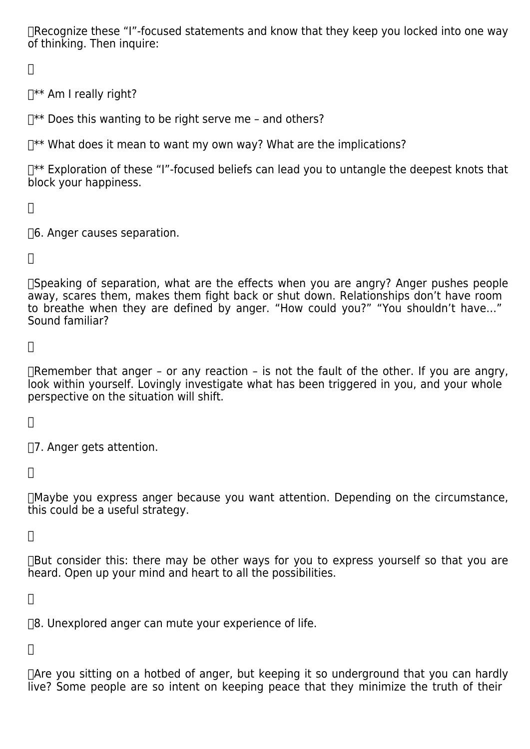Recognize these "I"-focused statements and know that they keep you locked into one way of thinking. Then inquire:

 $\Box$ 

 $\Box^{**}$  Am I really right?

 $\mathbb{R}^*$  Does this wanting to be right serve me – and others?

 $\mathbb{R}^*$  What does it mean to want my own way? What are the implications?

 $\mathbb{R}^*$  Exploration of these "I"-focused beliefs can lead you to untangle the deepest knots that block your happiness.

 $\Box$ 

 6. Anger causes separation.

 $\Box$ 

 Speaking of separation, what are the effects when you are angry? Anger pushes people away, scares them, makes them fight back or shut down. Relationships don't have room to breathe when they are defined by anger. "How could you?" "You shouldn't have…" Sound familiar?

 $\Box$ 

Themember that anger - or any reaction - is not the fault of the other. If you are angry, look within yourself. Lovingly investigate what has been triggered in you, and your whole perspective on the situation will shift.

 $\Box$ 

 7. Anger gets attention.

 $\Box$ 

 Maybe you express anger because you want attention. Depending on the circumstance, this could be a useful strategy.

 $\prod$ 

 $\Box$ But consider this: there may be other ways for you to express yourself so that you are heard. Open up your mind and heart to all the possibilities.

 $\Box$ 

 $\Box$ 8. Unexplored anger can mute your experience of life.

 $\Box$ 

 Are you sitting on a hotbed of anger, but keeping it so underground that you can hardly live? Some people are so intent on keeping peace that they minimize the truth of their